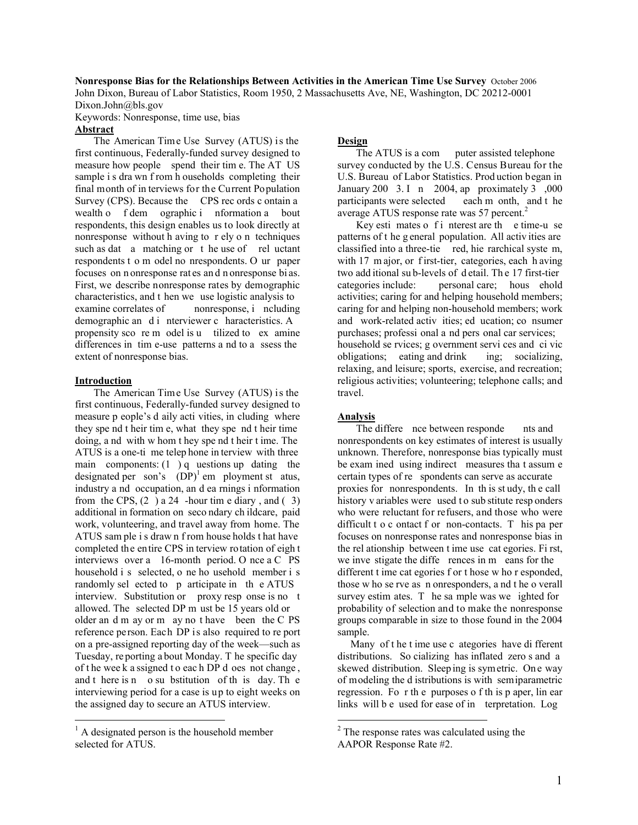**Nonresponse Bias for the Relationships Between Activities in the American Time Use Survey** October 2006

John Dixon, Bureau of Labor Statistics, Room 1950, 2 Massachusetts Ave, NE, Washington, DC 20212-0001 Dixon.John@bls.gov

Keywords: Nonresponse, time use, bias

# **Abstract**

The American Time Use Survey (ATUS) is the first continuous, Federally-funded survey designed to measure how people spend their tim e. The AT US sample i s dra wn f rom h ouseholds completing their final month of in terviews for the Current Population Survey (CPS). Because the CPS rec ords c ontain a wealth o f dem ographic i nformation a bout respondents, this design enables us to look directly at nonresponse without h aving to r ely o n techniques such as dat a matching or the use of rel uctant respondents t o m odel no nrespondents. O ur paper focuses on n onresponse rat es an d n onresponse bi as. First, we describe nonresponse rates by demographic characteristics, and t hen we use logistic analysis to examine correlates of nonresponse, i ncluding demographic an d i nterviewer c haracteristics. A propensity sco re m odel is u tilized to ex amine differences in tim e-use patterns a nd to a ssess the extent of nonresponse bias.

#### **Introduction**

 $\overline{a}$ 

The American Time Use Survey (ATUS) is the first continuous, Federally-funded survey designed to measure p eople's d aily acti vities, in cluding where they spe nd t heir tim e, what they spe nd t heir time doing, a nd with w hom t hey spe nd t heir t ime. The ATUS is a one-ti me telep hone in terview with three main components:  $(1)$  q uestions up dating the designated per son's  $(DP)^1$  em ployment st atus, industry a nd occupation, an d ea rnings i nformation from the CPS,  $(2)$  a 24 -hour time diary, and  $(3)$ additional in formation on seco ndary ch ildcare, paid work, volunteering, and travel away from home. The ATUS sam ple i s draw n f rom house holds t hat have completed the entire CPS in terview rotation of eigh t interviews over a 16-month period. O nce a C PS household i s selected, o ne ho usehold member i s randomly sel ected to p articipate in th e ATUS interview. Substitution or proxy resp onse is no t allowed. The selected DP m ust be 15 years old or older an d m ay or m ay no t have been the C PS reference person. Each DP is also required to re port on a pre-assigned reporting day of the week—such as Tuesday, re porting a bout Monday. T he specific day of t he wee k a ssigned t o eac h DP d oes not change , and t here is n o su bstitution of th is day. Th e interviewing period for a case is up to eight weeks on the assigned day to secure an ATUS interview.

### **Design**

The ATUS is a com puter assisted telephone survey conducted by the U.S. Census Bureau for the U.S. Bureau of Labor Statistics. Prod uction began in January 200 3. I n 2004, ap proximately 3 ,000 participants were selected each m onth, and t he average ATUS response rate was 57 percent. $2$ 

Key esti mates o f i nterest are the e time-u se patterns of t he g eneral population. All activ ities are classified into a three-tie red, hie rarchical syste m, with 17 m ajor, or f irst-tier, categories, each h aving two add itional su b-levels of d etail. Th e 17 first-tier categories include: personal care; hous ehold activities; caring for and helping household members; caring for and helping non-household members; work and work-related activ ities; ed ucation; co nsumer purchases; professi onal a nd pers onal car services; household se rvices; g overnment servi ces and ci vic obligations; eating and drink ing; socializing, relaxing, and leisure; sports, exercise, and recreation; religious activities; volunteering; telephone calls; and travel.

# **Analysis**

 $\overline{a}$ 

The differe nce between responde nts and nonrespondents on key estimates of interest is usually unknown. Therefore, nonresponse bias typically must be exam ined using indirect measures tha t assum e certain types of re spondents can serve as accurate proxies for nonrespondents. In th is st udy, th e call history v ariables were used to sub stitute resp onders who were reluctant for refusers, and those who were difficult t o c ontact f or non-contacts. T his pa per focuses on nonresponse rates and nonresponse bias in the rel ationship between t ime use cat egories. Fi rst, we inve stigate the diffe rences in m eans for the different t ime cat egories f or t hose w ho r esponded, those w ho se rve as n onresponders, a nd t he o verall survey estim ates. T he sa mple was we ighted for probability of selection and to make the nonresponse groups comparable in size to those found in the 2004 sample.

 Many of t he t ime use c ategories have di fferent distributions. So cializing has inflated zero s and a skewed distribution. Sleep ing is sym etric. On e way of modeling the d istributions is with semiparametric regression. Fo r th e purposes o f th is p aper, lin ear links will be used for ease of in terpretation. Log

<sup>&</sup>lt;sup>1</sup> A designated person is the household member selected for ATUS.

<sup>&</sup>lt;sup>2</sup> The response rates was calculated using the AAPOR Response Rate #2.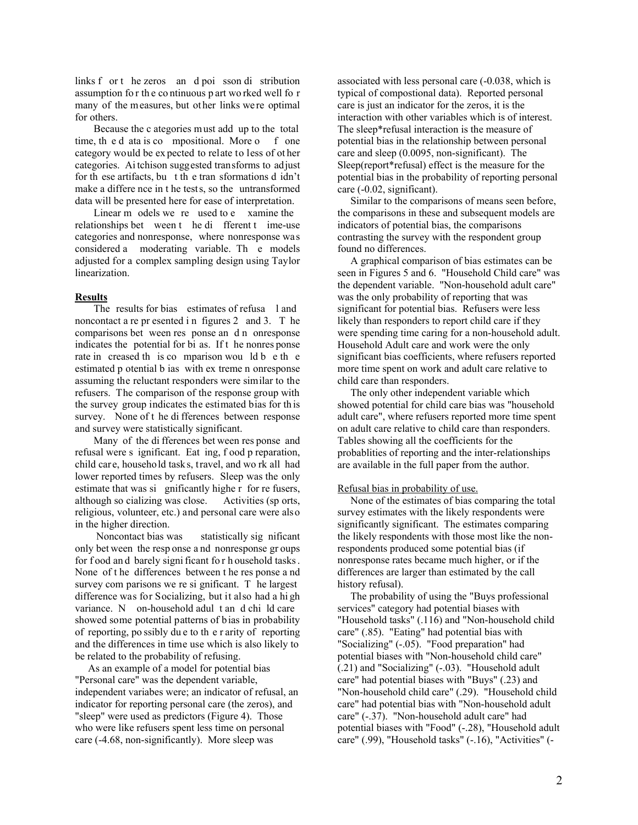links f or t he zeros an d poi sson di stribution assumption fo r th e co ntinuous p art wo rked well fo r many of the measures, but other links were optimal for others.

Because the c ategories must add up to the total time, the d ata is co mpositional. More o f one category would be ex pected to relate to less of ot her categories. Ai tchison suggested transforms to adjust for th ese artifacts, bu t th e tran sformations d idn't make a differe nce in t he tests, so the untransformed data will be presented here for ease of interpretation.

Linear m odels we re used to e xamine the relationships bet ween t he di fferent t ime-use categories and nonresponse, where nonresponse was considered a moderating variable. Th e models adjusted for a complex sampling design using Taylor linearization.

#### **Results**

The results for bias estimates of refusa l and noncontact a re pr esented i n figures 2 and 3. T he comparisons bet ween res ponse an d n onresponse indicates the potential for bi as. If t he nonres ponse rate in creased th is co mparison wou ld b e th e estimated p otential b ias with ex treme n onresponse assuming the reluctant responders were similar to the refusers. The comparison of the response group with the survey group indicates the estimated bias for th is survey. None of t he di fferences between response and survey were statistically significant.

Many of the di fferences bet ween res ponse and refusal were s ignificant. Eat ing, f ood p reparation, child care, household tasks, travel, and wo rk all had lower reported times by refusers. Sleep was the only estimate that was si gnificantly highe r for re fusers, although so cializing was close. Activities (sp orts, religious, volunteer, etc.) and personal care were also in the higher direction.

 Noncontact bias was statistically sig nificant only bet ween the resp onse a nd nonresponse gr oups for food and barely significant for h ousehold tasks. None of t he differences between t he res ponse a nd survey com parisons we re si gnificant. T he largest difference was for Socializing, but it also had a hi gh variance. N on-household adul t an d chi ld care showed some potential patterns of bias in probability of reporting, po ssibly du e to th e r arity of reporting and the differences in time use which is also likely to be related to the probability of refusing.

 As an example of a model for potential bias "Personal care" was the dependent variable, independent variabes were; an indicator of refusal, an indicator for reporting personal care (the zeros), and "sleep" were used as predictors (Figure 4). Those who were like refusers spent less time on personal care (-4.68, non-significantly). More sleep was

associated with less personal care (-0.038, which is typical of compostional data). Reported personal care is just an indicator for the zeros, it is the interaction with other variables which is of interest. The sleep\*refusal interaction is the measure of potential bias in the relationship between personal care and sleep (0.0095, non-significant). The Sleep(report\*refusal) effect is the measure for the potential bias in the probability of reporting personal care (-0.02, significant).

 Similar to the comparisons of means seen before, the comparisons in these and subsequent models are indicators of potential bias, the comparisons contrasting the survey with the respondent group found no differences.

 A graphical comparison of bias estimates can be seen in Figures 5 and 6. "Household Child care" was the dependent variable. "Non-household adult care" was the only probability of reporting that was significant for potential bias. Refusers were less likely than responders to report child care if they were spending time caring for a non-household adult. Household Adult care and work were the only significant bias coefficients, where refusers reported more time spent on work and adult care relative to child care than responders.

 The only other independent variable which showed potential for child care bias was "household adult care", where refusers reported more time spent on adult care relative to child care than responders. Tables showing all the coefficients for the probablities of reporting and the inter-relationships are available in the full paper from the author.

# Refusal bias in probability of use.

 None of the estimates of bias comparing the total survey estimates with the likely respondents were significantly significant. The estimates comparing the likely respondents with those most like the nonrespondents produced some potential bias (if nonresponse rates became much higher, or if the differences are larger than estimated by the call history refusal).

 The probability of using the "Buys professional services" category had potential biases with "Household tasks" (.116) and "Non-household child care" (.85). "Eating" had potential bias with "Socializing" (-.05). "Food preparation" had potential biases with "Non-household child care" (.21) and "Socializing" (-.03). "Household adult care" had potential biases with "Buys" (.23) and "Non-household child care" (.29). "Household child care" had potential bias with "Non-household adult care" (-.37). "Non-household adult care" had potential biases with "Food" (-.28), "Household adult care" (.99), "Household tasks" (-.16), "Activities" (-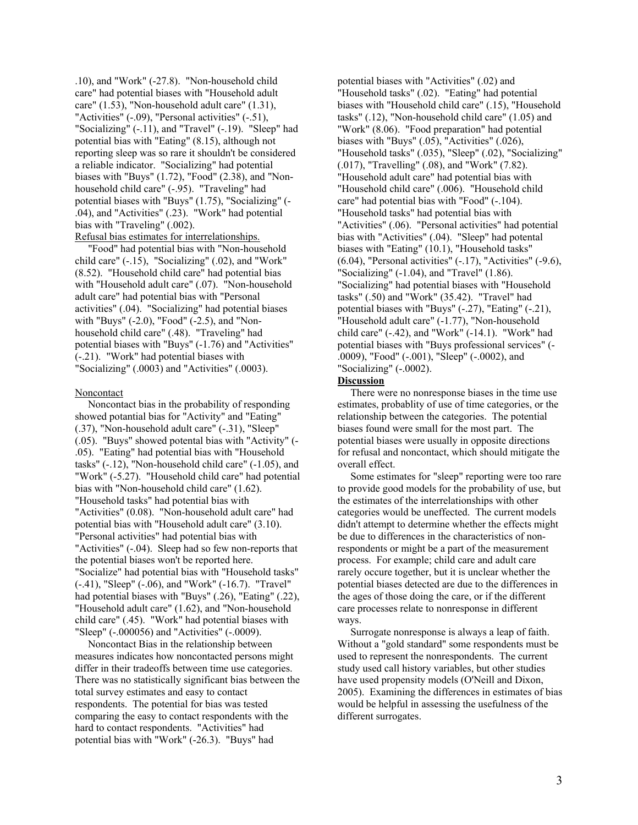.10), and "Work" (-27.8). "Non-household child care" had potential biases with "Household adult care" (1.53), "Non-household adult care" (1.31), "Activities" (-.09), "Personal activities" (-.51), "Socializing" (-.11), and "Travel" (-.19). "Sleep" had potential bias with "Eating" (8.15), although not reporting sleep was so rare it shouldn't be considered a reliable indicator. "Socializing" had potential biases with "Buys" (1.72), "Food" (2.38), and "Nonhousehold child care" (-.95). "Traveling" had potential biases with "Buys" (1.75), "Socializing" (- .04), and "Activities" (.23). "Work" had potential bias with "Traveling" (.002).

Refusal bias estimates for interrelationships. "Food" had potential bias with "Non-household child care" (-.15), "Socializing" (.02), and "Work" (8.52). "Household child care" had potential bias with "Household adult care" (.07). "Non-household adult care" had potential bias with "Personal activities" (.04). "Socializing" had potential biases with "Buys" (-2.0), "Food" (-2.5), and "Nonhousehold child care" (.48). "Traveling" had potential biases with "Buys" (-1.76) and "Activities" (-.21). "Work" had potential biases with "Socializing" (.0003) and "Activities" (.0003).

#### Noncontact

 Noncontact bias in the probability of responding showed potantial bias for "Activity" and "Eating" (.37), "Non-household adult care" (-.31), "Sleep" (.05). "Buys" showed potental bias with "Activity" (- .05). "Eating" had potential bias with "Household tasks" (-.12), "Non-household child care" (-1.05), and "Work" (-5.27). "Household child care" had potential bias with "Non-household child care" (1.62). "Household tasks" had potential bias with "Activities" (0.08). "Non-household adult care" had potential bias with "Household adult care" (3.10). "Personal activities" had potential bias with "Activities" (-.04). Sleep had so few non-reports that the potential biases won't be reported here. "Socialize" had potential bias with "Household tasks" (-.41), "Sleep" (-.06), and "Work" (-16.7). "Travel" had potential biases with "Buys" (.26), "Eating" (.22), "Household adult care" (1.62), and "Non-household child care" (.45). "Work" had potential biases with "Sleep" (-.000056) and "Activities" (-.0009).

 Noncontact Bias in the relationship between measures indicates how noncontacted persons might differ in their tradeoffs between time use categories. There was no statistically significant bias between the total survey estimates and easy to contact respondents. The potential for bias was tested comparing the easy to contact respondents with the hard to contact respondents. "Activities" had potential bias with "Work" (-26.3). "Buys" had

potential biases with "Activities" (.02) and "Household tasks" (.02). "Eating" had potential biases with "Household child care" (.15), "Household tasks" (.12), "Non-household child care" (1.05) and "Work" (8.06). "Food preparation" had potential biases with "Buys" (.05), "Activities" (.026), "Household tasks" (.035), "Sleep" (.02), "Socializing" (.017), "Travelling" (.08), and "Work" (7.82). "Household adult care" had potential bias with "Household child care" (.006). "Household child care" had potential bias with "Food" (-.104). "Household tasks" had potential bias with "Activities" (.06). "Personal activities" had potential bias with "Activities" (.04). "Sleep" had potental biases with "Eating" (10.1), "Household tasks" (6.04), "Personal activities" (-.17), "Activities" (-9.6), "Socializing" (-1.04), and "Travel" (1.86). "Socializing" had potential biases with "Household tasks" (.50) and "Work" (35.42). "Travel" had potential biases with "Buys" (-.27), "Eating" (-.21), "Household adult care" (-1.77), "Non-household child care" (-.42), and "Work" (-14.1). "Work" had potential biases with "Buys professional services" (- .0009), "Food" (-.001), "Sleep" (-.0002), and "Socializing" (-.0002).

#### **Discussion**

 There were no nonresponse biases in the time use estimates, probablity of use of time categories, or the relationship between the categories. The potential biases found were small for the most part. The potential biases were usually in opposite directions for refusal and noncontact, which should mitigate the overall effect.

 Some estimates for "sleep" reporting were too rare to provide good models for the probability of use, but the estimates of the interrelationships with other categories would be uneffected. The current models didn't attempt to determine whether the effects might be due to differences in the characteristics of nonrespondents or might be a part of the measurement process. For example; child care and adult care rarely occure together, but it is unclear whether the potential biases detected are due to the differences in the ages of those doing the care, or if the different care processes relate to nonresponse in different ways.

 Surrogate nonresponse is always a leap of faith. Without a "gold standard" some respondents must be used to represent the nonrespondents. The current study used call history variables, but other studies have used propensity models (O'Neill and Dixon, 2005). Examining the differences in estimates of bias would be helpful in assessing the usefulness of the different surrogates.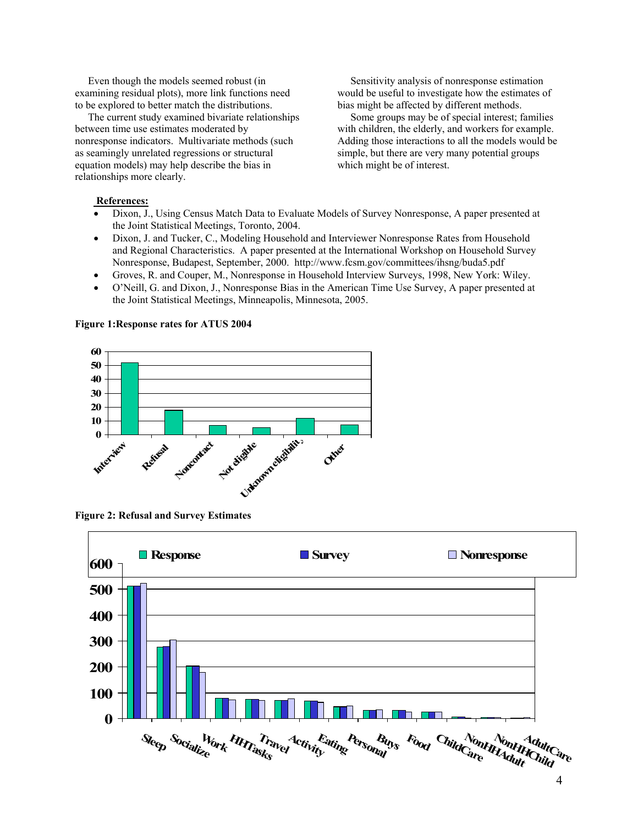Even though the models seemed robust (in examining residual plots), more link functions need to be explored to better match the distributions.

 The current study examined bivariate relationships between time use estimates moderated by nonresponse indicators. Multivariate methods (such as seamingly unrelated regressions or structural equation models) may help describe the bias in relationships more clearly.

 Sensitivity analysis of nonresponse estimation would be useful to investigate how the estimates of bias might be affected by different methods.

 Some groups may be of special interest; families with children, the elderly, and workers for example. Adding those interactions to all the models would be simple, but there are very many potential groups which might be of interest.

### **References:**

- Dixon, J., Using Census Match Data to Evaluate Models of Survey Nonresponse, A paper presented at the Joint Statistical Meetings, Toronto, 2004.
- Dixon, J. and Tucker, C., Modeling Household and Interviewer Nonresponse Rates from Household and Regional Characteristics. A paper presented at the International Workshop on Household Survey Nonresponse, Budapest, September, 2000. http://www.fcsm.gov/committees/ihsng/buda5.pdf
- Groves, R. and Couper, M., Nonresponse in Household Interview Surveys, 1998, New York: Wiley.
- O'Neill, G. and Dixon, J., Nonresponse Bias in the American Time Use Survey, A paper presented at the Joint Statistical Meetings, Minneapolis, Minnesota, 2005.



**Figure 1:Response rates for ATUS 2004** 

**Figure 2: Refusal and Survey Estimates**

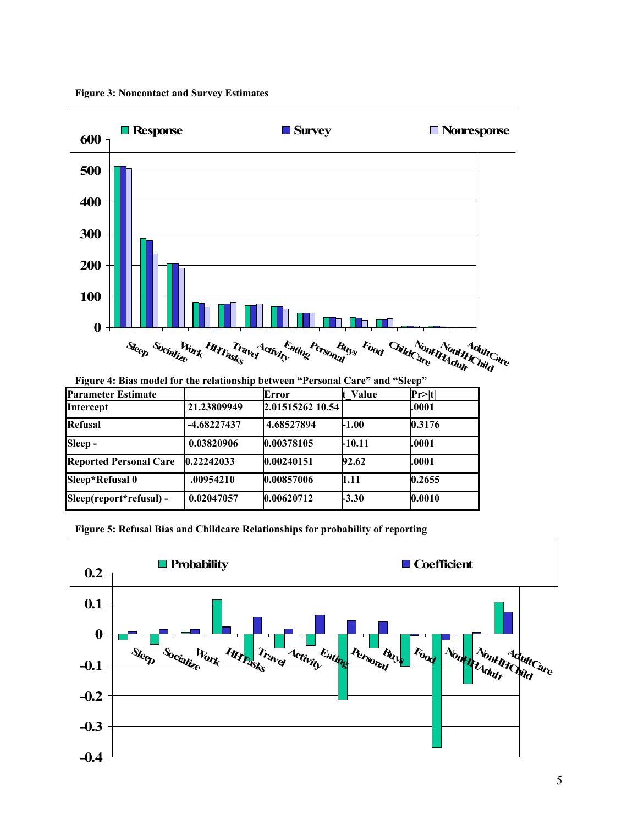

**Figure 3: Noncontact and Survey Estimates** 

| Figure 4: Bias model for the relationship between "Personal Care" and "Sleep" |             |                  |              |        |
|-------------------------------------------------------------------------------|-------------|------------------|--------------|--------|
| <b>Parameter Estimate</b>                                                     |             | Error            | <b>Value</b> | Pr> t  |
| Intercept                                                                     | 21.23809949 | 2.01515262 10.54 |              | .0001  |
| Refusal                                                                       | -4.68227437 | 4.68527894       | <b>L1.00</b> | 0.3176 |
| Sleep -                                                                       | 0.03820906  | 0.00378105       | -10.11       | .0001  |
| <b>Reported Personal Care</b>                                                 | 0.22242033  | 0.00240151       | 92.62        | .0001  |
| Sleep*Refusal 0                                                               | .00954210   | 0.00857006       | 1.11         | 0.2655 |
| Sleep(report*refusal) -                                                       | 0.02047057  | 0.00620712       | $-3.30$      | 0.0010 |

**Figure 5: Refusal Bias and Childcare Relationships for probability of reporting** 

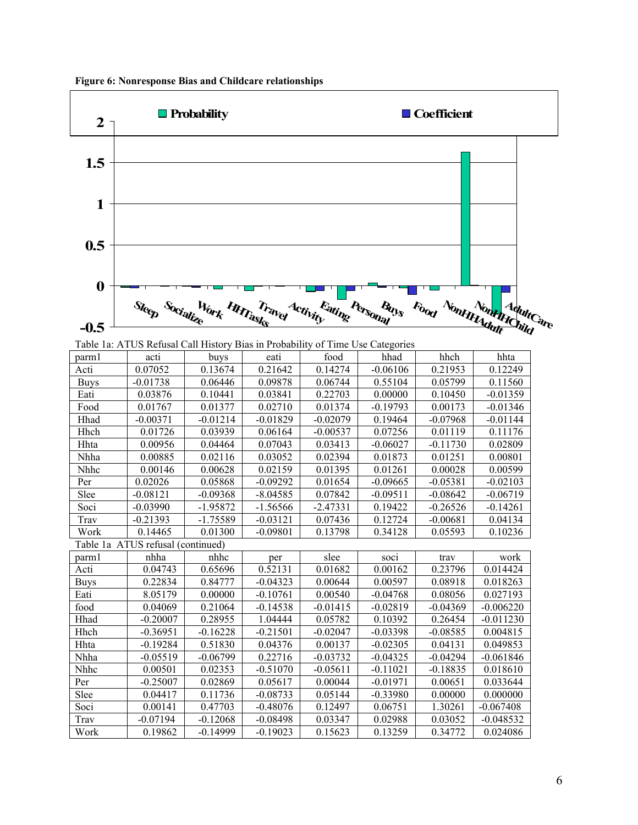

| parm1       | acti                              | buys       | eati       | food       | hhad       | hhch       | hhta        |
|-------------|-----------------------------------|------------|------------|------------|------------|------------|-------------|
| Acti        | 0.07052                           | 0.13674    | 0.21642    | 0.14274    | $-0.06106$ | 0.21953    | 0.12249     |
| <b>Buys</b> | $-0.01738$                        | 0.06446    | 0.09878    | 0.06744    | 0.55104    | 0.05799    | 0.11560     |
| Eati        | 0.03876                           | 0.10441    | 0.03841    | 0.22703    | 0.00000    | 0.10450    | $-0.01359$  |
| Food        | 0.01767                           | 0.01377    | 0.02710    | 0.01374    | $-0.19793$ | 0.00173    | $-0.01346$  |
| Hhad        | $-0.00371$                        | $-0.01214$ | $-0.01829$ | $-0.02079$ | 0.19464    | $-0.07968$ | $-0.01144$  |
| Hhch        | 0.01726                           | 0.03939    | 0.06164    | $-0.00537$ | 0.07256    | 0.01119    | 0.11176     |
| Hhta        | 0.00956                           | 0.04464    | 0.07043    | 0.03413    | $-0.06027$ | $-0.11730$ | 0.02809     |
| Nhha        | 0.00885                           | 0.02116    | 0.03052    | 0.02394    | 0.01873    | 0.01251    | 0.00801     |
| Nhhc        | 0.00146                           | 0.00628    | 0.02159    | 0.01395    | 0.01261    | 0.00028    | 0.00599     |
| Per         | 0.02026                           | 0.05868    | $-0.09292$ | 0.01654    | $-0.09665$ | $-0.05381$ | $-0.02103$  |
| Slee        | $-0.08121$                        | -0.09368   | $-8.04585$ | 0.07842    | $-0.09511$ | $-0.08642$ | $-0.06719$  |
| Soci        | $-0.03990$                        | $-1.95872$ | $-1.56566$ | $-2.47331$ | 0.19422    | $-0.26526$ | $-0.14261$  |
| Trav        | $-0.21393$                        | $-1.75589$ | $-0.03121$ | 0.07436    | 0.12724    | $-0.00681$ | 0.04134     |
| Work        | 0.14465                           | 0.01300    | $-0.09801$ | 0.13798    | 0.34128    | 0.05593    | 0.10236     |
|             | Table 1a ATUS refusal (continued) |            |            |            |            |            |             |
| parm1       | nhha                              | nhhc       | per        | slee       | soci       | trav       | work        |
|             |                                   |            | 0.52131    | 0.01682    | 0.00162    | 0.23796    | 0.014424    |
| Acti        | 0.04743                           | 0.65696    |            |            |            |            |             |
| <b>Buys</b> | 0.22834                           | 0.84777    | $-0.04323$ | 0.00644    | 0.00597    | 0.08918    | 0.018263    |
| Eati        | 8.05179                           | 0.00000    | $-0.10761$ | 0.00540    | $-0.04768$ | 0.08056    | 0.027193    |
| food        | 0.04069                           | 0.21064    | $-0.14538$ | $-0.01415$ | $-0.02819$ | $-0.04369$ | $-0.006220$ |
| Hhad        | $-0.20007$                        | 0.28955    | 1.04444    | 0.05782    | 0.10392    | 0.26454    | $-0.011230$ |
| Hhch        | $-0.36951$                        | $-0.16228$ | $-0.21501$ | $-0.02047$ | $-0.03398$ | $-0.08585$ | 0.004815    |
| Hhta        | $-0.19284$                        | 0.51830    | 0.04376    | 0.00137    | $-0.02305$ | 0.04131    | 0.049853    |
| Nhha        | $-0.05519$                        | $-0.06799$ | 0.22716    | $-0.03732$ | $-0.04325$ | $-0.04294$ | $-0.061846$ |
| Nhhc        | 0.00501                           | 0.02353    | $-0.51070$ | $-0.05611$ | $-0.11021$ | $-0.18835$ | 0.018610    |
| Per         | $-0.25007$                        | 0.02869    | 0.05617    | 0.00044    | $-0.01971$ | 0.00651    | 0.033644    |
| Slee        | 0.04417                           | 0.11736    | $-0.08733$ | 0.05144    | $-0.33980$ | 0.00000    | 0.000000    |
| Soci        | 0.00141                           | 0.47703    | $-0.48076$ | 0.12497    | 0.06751    | 1.30261    | $-0.067408$ |
| Trav        | $-0.07194$                        | $-0.12068$ | $-0.08498$ | 0.03347    | 0.02988    | 0.03052    | $-0.048532$ |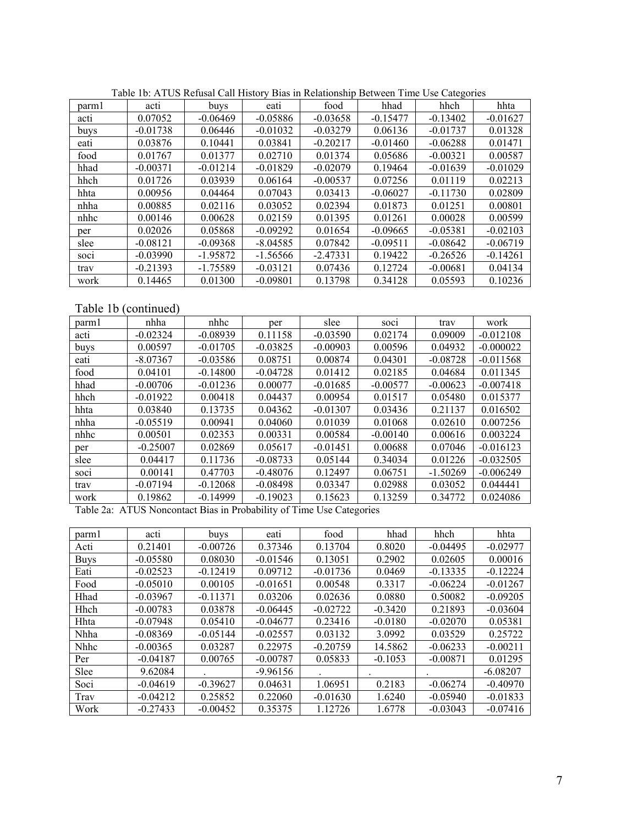| parml | acti       | buys       | eati       | food       | hhad       | hhch       | hhta       |
|-------|------------|------------|------------|------------|------------|------------|------------|
| acti  | 0.07052    | $-0.06469$ | $-0.05886$ | $-0.03658$ | $-0.15477$ | $-0.13402$ | $-0.01627$ |
| buys  | $-0.01738$ | 0.06446    | $-0.01032$ | $-0.03279$ | 0.06136    | $-0.01737$ | 0.01328    |
| eati  | 0.03876    | 0.10441    | 0.03841    | $-0.20217$ | $-0.01460$ | $-0.06288$ | 0.01471    |
| food  | 0.01767    | 0.01377    | 0.02710    | 0.01374    | 0.05686    | $-0.00321$ | 0.00587    |
| hhad  | $-0.00371$ | $-0.01214$ | $-0.01829$ | $-0.02079$ | 0.19464    | $-0.01639$ | $-0.01029$ |
| hhch  | 0.01726    | 0.03939    | 0.06164    | $-0.00537$ | 0.07256    | 0.01119    | 0.02213    |
| hhta  | 0.00956    | 0.04464    | 0.07043    | 0.03413    | $-0.06027$ | $-0.11730$ | 0.02809    |
| nhha  | 0.00885    | 0.02116    | 0.03052    | 0.02394    | 0.01873    | 0.01251    | 0.00801    |
| nhhc  | 0.00146    | 0.00628    | 0.02159    | 0.01395    | 0.01261    | 0.00028    | 0.00599    |
| per   | 0.02026    | 0.05868    | $-0.09292$ | 0.01654    | $-0.09665$ | $-0.05381$ | $-0.02103$ |
| slee  | $-0.08121$ | $-0.09368$ | $-8.04585$ | 0.07842    | $-0.09511$ | $-0.08642$ | $-0.06719$ |
| soci  | $-0.03990$ | $-1.95872$ | $-1.56566$ | $-2.47331$ | 0.19422    | $-0.26526$ | $-0.14261$ |
| trav  | $-0.21393$ | $-1.75589$ | $-0.03121$ | 0.07436    | 0.12724    | $-0.00681$ | 0.04134    |
| work  | 0.14465    | 0.01300    | $-0.09801$ | 0.13798    | 0.34128    | 0.05593    | 0.10236    |

Table 1b: ATUS Refusal Call History Bias in Relationship Between Time Use Categories

Table 1b (continued)

| parml | nhha       | nhhc       | per        | slee       | soci       | trav       | work        |
|-------|------------|------------|------------|------------|------------|------------|-------------|
| acti  | $-0.02324$ | $-0.08939$ | 0.11158    | $-0.03590$ | 0.02174    | 0.09009    | $-0.012108$ |
| buys  | 0.00597    | $-0.01705$ | $-0.03825$ | $-0.00903$ | 0.00596    | 0.04932    | $-0.000022$ |
| eati  | $-8.07367$ | $-0.03586$ | 0.08751    | 0.00874    | 0.04301    | $-0.08728$ | $-0.011568$ |
| food  | 0.04101    | $-0.14800$ | $-0.04728$ | 0.01412    | 0.02185    | 0.04684    | 0.011345    |
| hhad  | $-0.00706$ | $-0.01236$ | 0.00077    | $-0.01685$ | $-0.00577$ | $-0.00623$ | $-0.007418$ |
| hhch  | $-0.01922$ | 0.00418    | 0.04437    | 0.00954    | 0.01517    | 0.05480    | 0.015377    |
| hhta  | 0.03840    | 0.13735    | 0.04362    | $-0.01307$ | 0.03436    | 0.21137    | 0.016502    |
| nhha  | $-0.05519$ | 0.00941    | 0.04060    | 0.01039    | 0.01068    | 0.02610    | 0.007256    |
| nhhc  | 0.00501    | 0.02353    | 0.00331    | 0.00584    | $-0.00140$ | 0.00616    | 0.003224    |
| per   | $-0.25007$ | 0.02869    | 0.05617    | $-0.01451$ | 0.00688    | 0.07046    | $-0.016123$ |
| slee  | 0.04417    | 0.11736    | $-0.08733$ | 0.05144    | 0.34034    | 0.01226    | $-0.032505$ |
| SOC1  | 0.00141    | 0.47703    | $-0.48076$ | 0.12497    | 0.06751    | $-1.50269$ | $-0.006249$ |
| trav  | $-0.07194$ | $-0.12068$ | $-0.08498$ | 0.03347    | 0.02988    | 0.03052    | 0.044441    |
| work  | 0.19862    | $-0.14999$ | $-0.19023$ | 0.15623    | 0.13259    | 0.34772    | 0.024086    |

Table 2a: ATUS Noncontact Bias in Probability of Time Use Categories

| parm1       | acti       | buys       | eati       | food       | hhad      | hhch       | hhta       |
|-------------|------------|------------|------------|------------|-----------|------------|------------|
| Acti        | 0.21401    | $-0.00726$ | 0.37346    | 0.13704    | 0.8020    | $-0.04495$ | $-0.02977$ |
| <b>Buys</b> | $-0.05580$ | 0.08030    | $-0.01546$ | 0.13051    | 0.2902    | 0.02605    | 0.00016    |
| Eati        | $-0.02523$ | $-0.12419$ | 0.09712    | $-0.01736$ | 0.0469    | $-0.13335$ | $-0.12224$ |
| Food        | $-0.05010$ | 0.00105    | $-0.01651$ | 0.00548    | 0.3317    | $-0.06224$ | $-0.01267$ |
| Hhad        | $-0.03967$ | $-0.11371$ | 0.03206    | 0.02636    | 0.0880    | 0.50082    | $-0.09205$ |
| Hhch        | $-0.00783$ | 0.03878    | $-0.06445$ | $-0.02722$ | $-0.3420$ | 0.21893    | $-0.03604$ |
| <b>Hhta</b> | $-0.07948$ | 0.05410    | $-0.04677$ | 0.23416    | $-0.0180$ | $-0.02070$ | 0.05381    |
| Nhha        | $-0.08369$ | $-0.05144$ | $-0.02557$ | 0.03132    | 3.0992    | 0.03529    | 0.25722    |
| <b>Nhhc</b> | $-0.00365$ | 0.03287    | 0.22975    | $-0.20759$ | 14.5862   | $-0.06233$ | $-0.00211$ |
| Per         | $-0.04187$ | 0.00765    | $-0.00787$ | 0.05833    | $-0.1053$ | $-0.00871$ | 0.01295    |
| <b>Slee</b> | 9.62084    |            | $-9.96156$ |            |           |            | $-6.08207$ |
| Soci        | $-0.04619$ | $-0.39627$ | 0.04631    | 1.06951    | 0.2183    | $-0.06274$ | $-0.40970$ |
| Trav        | $-0.04212$ | 0.25852    | 0.22060    | $-0.01630$ | 1.6240    | $-0.05940$ | $-0.01833$ |
| Work        | $-0.27433$ | $-0.00452$ | 0.35375    | 1.12726    | 1.6778    | $-0.03043$ | $-0.07416$ |